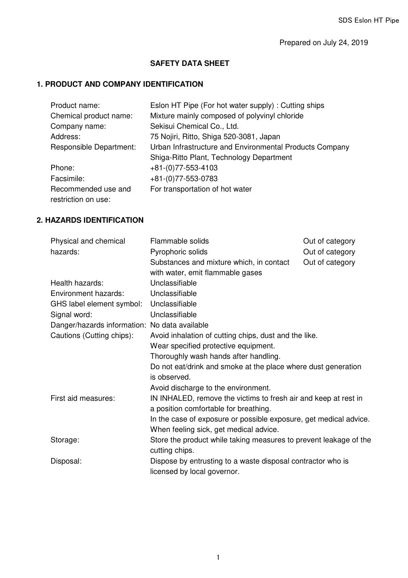Prepared on July 24, 2019

#### **SAFETY DATA SHEET**

### **1. PRODUCT AND COMPANY IDENTIFICATION**

| Product name:           | Eslon HT Pipe (For hot water supply): Cutting ships     |
|-------------------------|---------------------------------------------------------|
| Chemical product name:  | Mixture mainly composed of polyvinyl chloride           |
| Company name:           | Sekisui Chemical Co., Ltd.                              |
| Address:                | 75 Nojiri, Ritto, Shiga 520-3081, Japan                 |
| Responsible Department: | Urban Infrastructure and Environmental Products Company |
|                         | Shiga-Ritto Plant, Technology Department                |
| Phone:                  | $+81-(0)77-553-4103$                                    |
| Facsimile:              | +81-(0)77-553-0783                                      |
| Recommended use and     | For transportation of hot water                         |
| restriction on use:     |                                                         |

## **2. HAZARDS IDENTIFICATION**

| Physical and chemical                         | Flammable solids<br>Out of category                               |  |
|-----------------------------------------------|-------------------------------------------------------------------|--|
| hazards:                                      | Pyrophoric solids<br>Out of category                              |  |
|                                               | Substances and mixture which, in contact<br>Out of category       |  |
|                                               | with water, emit flammable gases                                  |  |
| Health hazards:                               | Unclassifiable                                                    |  |
| Environment hazards:                          | Unclassifiable                                                    |  |
| GHS label element symbol:                     | Unclassifiable                                                    |  |
| Signal word:                                  | Unclassifiable                                                    |  |
| Danger/hazards information: No data available |                                                                   |  |
| Cautions (Cutting chips):                     | Avoid inhalation of cutting chips, dust and the like.             |  |
|                                               | Wear specified protective equipment.                              |  |
|                                               | Thoroughly wash hands after handling.                             |  |
|                                               | Do not eat/drink and smoke at the place where dust generation     |  |
|                                               | is observed.                                                      |  |
|                                               | Avoid discharge to the environment.                               |  |
| First aid measures:                           | IN INHALED, remove the victims to fresh air and keep at rest in   |  |
|                                               | a position comfortable for breathing.                             |  |
|                                               | In the case of exposure or possible exposure, get medical advice. |  |
|                                               | When feeling sick, get medical advice.                            |  |
| Storage:                                      | Store the product while taking measures to prevent leakage of the |  |
|                                               | cutting chips.                                                    |  |
| Disposal:                                     | Dispose by entrusting to a waste disposal contractor who is       |  |
|                                               | licensed by local governor.                                       |  |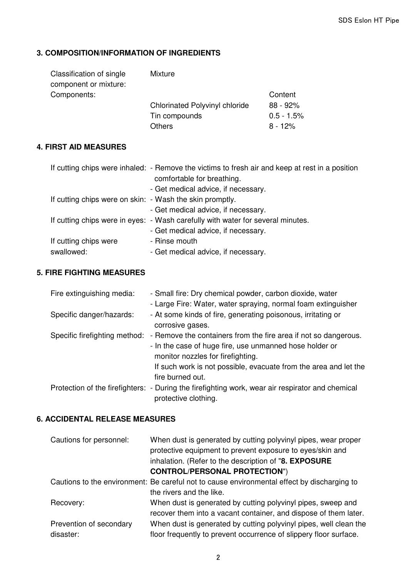### **3. COMPOSITION/INFORMATION OF INGREDIENTS**

| Classification of single | <b>Mixture</b>                        |               |
|--------------------------|---------------------------------------|---------------|
| component or mixture:    |                                       |               |
| Components:              |                                       | Content       |
|                          | <b>Chlorinated Polyvinyl chloride</b> | $88 - 92%$    |
|                          | Tin compounds                         | $0.5 - 1.5\%$ |
|                          | <b>Others</b>                         | $8 - 12%$     |

#### **4. FIRST AID MEASURES**

|                                                          | If cutting chips were inhaled: - Remove the victims to fresh air and keep at rest in a position<br>comfortable for breathing.<br>- Get medical advice, if necessary. |
|----------------------------------------------------------|----------------------------------------------------------------------------------------------------------------------------------------------------------------------|
| If cutting chips were on skin: - Wash the skin promptly. |                                                                                                                                                                      |
|                                                          | - Get medical advice, if necessary.                                                                                                                                  |
|                                                          | If cutting chips were in eyes: - Wash carefully with water for several minutes.                                                                                      |
|                                                          | - Get medical advice, if necessary.                                                                                                                                  |
| If cutting chips were                                    | - Rinse mouth                                                                                                                                                        |
| swallowed:                                               | - Get medical advice, if necessary.                                                                                                                                  |

## **5. FIRE FIGHTING MEASURES**

| Fire extinguishing media:     | - Small fire: Dry chemical powder, carbon dioxide, water                                                                                                                                                                                                |
|-------------------------------|---------------------------------------------------------------------------------------------------------------------------------------------------------------------------------------------------------------------------------------------------------|
|                               | - Large Fire: Water, water spraying, normal foam extinguisher                                                                                                                                                                                           |
| Specific danger/hazards:      | - At some kinds of fire, generating poisonous, irritating or<br>corrosive gases.                                                                                                                                                                        |
| Specific firefighting method: | - Remove the containers from the fire area if not so dangerous.<br>- In the case of huge fire, use unmanned hose holder or<br>monitor nozzles for firefighting.<br>If such work is not possible, evacuate from the area and let the<br>fire burned out. |
|                               | Protection of the firefighters: - During the firefighting work, wear air respirator and chemical<br>protective clothing.                                                                                                                                |

### **6. ACCIDENTAL RELEASE MEASURES**

| Cautions for personnel: | When dust is generated by cutting polyvinyl pipes, wear proper<br>protective equipment to prevent exposure to eyes/skin and<br>inhalation. (Refer to the description of "8. EXPOSURE<br><b>CONTROL/PERSONAL PROTECTION")</b> |
|-------------------------|------------------------------------------------------------------------------------------------------------------------------------------------------------------------------------------------------------------------------|
|                         | Cautions to the environment: Be careful not to cause environmental effect by discharging to                                                                                                                                  |
|                         | the rivers and the like.                                                                                                                                                                                                     |
| Recovery:               | When dust is generated by cutting polyvinyl pipes, sweep and<br>recover them into a vacant container, and dispose of them later.                                                                                             |
| Prevention of secondary | When dust is generated by cutting polyvinyl pipes, well clean the                                                                                                                                                            |
| disaster:               | floor frequently to prevent occurrence of slippery floor surface.                                                                                                                                                            |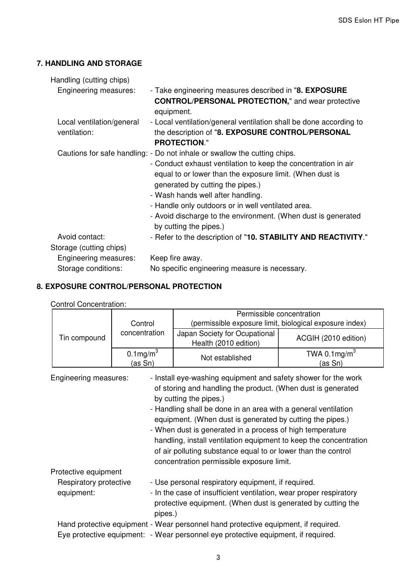### **7. HANDLING AND STORAGE**

| Handling (cutting chips)                  |                                                                                                                                                                                                                                                                                                                                                                                                                                   |
|-------------------------------------------|-----------------------------------------------------------------------------------------------------------------------------------------------------------------------------------------------------------------------------------------------------------------------------------------------------------------------------------------------------------------------------------------------------------------------------------|
| Engineering measures:                     | - Take engineering measures described in "8. EXPOSURE<br><b>CONTROL/PERSONAL PROTECTION,"</b> and wear protective<br>equipment.                                                                                                                                                                                                                                                                                                   |
| Local ventilation/general<br>ventilation: | - Local ventilation/general ventilation shall be done according to<br>the description of "8. EXPOSURE CONTROL/PERSONAL<br><b>PROTECTION."</b>                                                                                                                                                                                                                                                                                     |
|                                           | Cautions for safe handling: - Do not inhale or swallow the cutting chips.<br>- Conduct exhaust ventilation to keep the concentration in air<br>equal to or lower than the exposure limit. (When dust is<br>generated by cutting the pipes.)<br>- Wash hands well after handling.<br>- Handle only outdoors or in well ventilated area.<br>- Avoid discharge to the environment. (When dust is generated<br>by cutting the pipes.) |
| Avoid contact:                            | - Refer to the description of "10. STABILITY AND REACTIVITY."                                                                                                                                                                                                                                                                                                                                                                     |
| Storage (cutting chips)                   |                                                                                                                                                                                                                                                                                                                                                                                                                                   |
| Engineering measures:                     | Keep fire away.                                                                                                                                                                                                                                                                                                                                                                                                                   |
| Storage conditions:                       | No specific engineering measure is necessary.                                                                                                                                                                                                                                                                                                                                                                                     |

## **8. EXPOSURE CONTROL/PERSONAL PROTECTION**

Control Concentration:

|                                                                                                                                                         |                                           | Permissible concentration                                                          |                                                         |
|---------------------------------------------------------------------------------------------------------------------------------------------------------|-------------------------------------------|------------------------------------------------------------------------------------|---------------------------------------------------------|
|                                                                                                                                                         | Control                                   |                                                                                    | (permissible exposure limit, biological exposure index) |
| Tin compound                                                                                                                                            | concentration                             | Japan Society for Ocupational<br>Health (2010 edition)                             | ACGIH (2010 edition)                                    |
|                                                                                                                                                         | $0.1$ mg/m $3$<br><u>(as Sn)</u>          | Not established                                                                    | TWA 0.1 $mg/m3$<br>(as Sn)                              |
| - Install eye-washing equipment and safety shower for the work<br>Engineering measures:<br>of storing and handling the product. (When dust is generated |                                           |                                                                                    |                                                         |
|                                                                                                                                                         |                                           | by cutting the pipes.)                                                             |                                                         |
|                                                                                                                                                         |                                           | - Handling shall be done in an area with a general ventilation                     |                                                         |
|                                                                                                                                                         |                                           | equipment. (When dust is generated by cutting the pipes.)                          |                                                         |
|                                                                                                                                                         |                                           | - When dust is generated in a process of high temperature                          |                                                         |
|                                                                                                                                                         |                                           | handling, install ventilation equipment to keep the concentration                  |                                                         |
|                                                                                                                                                         |                                           | of air polluting substance equal to or lower than the control                      |                                                         |
|                                                                                                                                                         | concentration permissible exposure limit. |                                                                                    |                                                         |
| Protective equipment                                                                                                                                    |                                           |                                                                                    |                                                         |
|                                                                                                                                                         |                                           |                                                                                    |                                                         |
| Respiratory protective                                                                                                                                  |                                           | - Use personal respiratory equipment, if required.                                 |                                                         |
| equipment:                                                                                                                                              |                                           | - In the case of insufficient ventilation, wear proper respiratory                 |                                                         |
|                                                                                                                                                         | pipes.)                                   | protective equipment. (When dust is generated by cutting the                       |                                                         |
|                                                                                                                                                         |                                           | Hand protective equipment - Wear personnel hand protective equipment, if required. |                                                         |
| Eye protective equipment: - Wear personnel eye protective equipment, if required.                                                                       |                                           |                                                                                    |                                                         |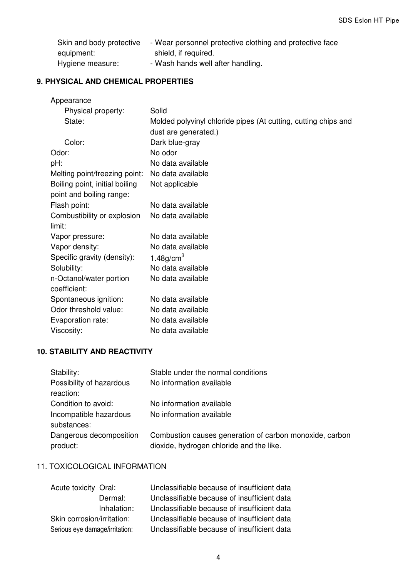| Skin and body protective | - Wear personnel protective clothing and protective face |
|--------------------------|----------------------------------------------------------|
| equipment:               | shield, if required.                                     |
| Hygiene measure:         | - Wash hands well after handling.                        |

### **9. PHYSICAL AND CHEMICAL PROPERTIES**

| Appearance                     |                                                                |
|--------------------------------|----------------------------------------------------------------|
| Physical property:             | Solid                                                          |
| State:                         | Molded polyvinyl chloride pipes (At cutting, cutting chips and |
|                                | dust are generated.)                                           |
| Color:                         | Dark blue-gray                                                 |
| Odor:                          | No odor                                                        |
| pH:                            | No data available                                              |
| Melting point/freezing point:  | No data available                                              |
| Boiling point, initial boiling | Not applicable                                                 |
| point and boiling range:       |                                                                |
| Flash point:                   | No data available                                              |
| Combustibility or explosion    | No data available                                              |
| limit:                         |                                                                |
| Vapor pressure:                | No data available                                              |
| Vapor density:                 | No data available                                              |
| Specific gravity (density):    | 1.48 $q/cm3$                                                   |
| Solubility:                    | No data available                                              |
| n-Octanol/water portion        | No data available                                              |
| coefficient:                   |                                                                |
| Spontaneous ignition:          | No data available                                              |
| Odor threshold value:          | No data available                                              |
| Evaporation rate:              | No data available                                              |
| Viscosity:                     | No data available                                              |

### **10. STABILITY AND REACTIVITY**

| Stability:<br>Possibility of hazardous<br>reaction: | Stable under the normal conditions<br>No information available                                      |
|-----------------------------------------------------|-----------------------------------------------------------------------------------------------------|
| Condition to avoid:<br>Incompatible hazardous       | No information available<br>No information available                                                |
| substances:<br>Dangerous decomposition<br>product:  | Combustion causes generation of carbon monoxide, carbon<br>dioxide, hydrogen chloride and the like. |

# 11. TOXICOLOGICAL INFORMATION

| Acute toxicity Oral:           |             | Unclassifiable because of insufficient data |
|--------------------------------|-------------|---------------------------------------------|
|                                | Dermal:     | Unclassifiable because of insufficient data |
|                                | Inhalation: | Unclassifiable because of insufficient data |
| Skin corrosion/irritation:     |             | Unclassifiable because of insufficient data |
| Serious eye damage/irritation: |             | Unclassifiable because of insufficient data |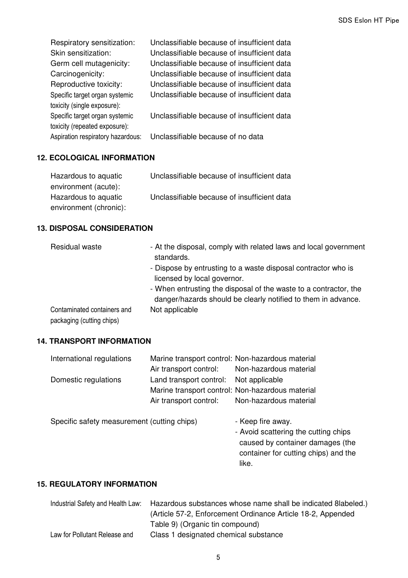| Respiratory sensitization:                                      | Unclassifiable because of insufficient data |
|-----------------------------------------------------------------|---------------------------------------------|
| Skin sensitization:                                             | Unclassifiable because of insufficient data |
| Germ cell mutagenicity:                                         | Unclassifiable because of insufficient data |
| Carcinogenicity:                                                | Unclassifiable because of insufficient data |
| Reproductive toxicity:                                          | Unclassifiable because of insufficient data |
| Specific target organ systemic<br>toxicity (single exposure):   | Unclassifiable because of insufficient data |
| Specific target organ systemic<br>toxicity (repeated exposure): | Unclassifiable because of insufficient data |
| Aspiration respiratory hazardous:                               | Unclassifiable because of no data           |

# **12. ECOLOGICAL INFORMATION**

| Hazardous to aquatic   | Unclassifiable because of insufficient data |
|------------------------|---------------------------------------------|
| environment (acute):   |                                             |
| Hazardous to aquatic   | Unclassifiable because of insufficient data |
| environment (chronic): |                                             |

### **13. DISPOSAL CONSIDERATION**

| Residual waste                                           | - At the disposal, comply with related laws and local government<br>standards.                                                    |
|----------------------------------------------------------|-----------------------------------------------------------------------------------------------------------------------------------|
|                                                          | - Dispose by entrusting to a waste disposal contractor who is<br>licensed by local governor.                                      |
|                                                          | - When entrusting the disposal of the waste to a contractor, the<br>danger/hazards should be clearly notified to them in advance. |
| Contaminated containers and<br>packaging (cutting chips) | Not applicable                                                                                                                    |

### **14. TRANSPORT INFORMATION**

| International regulations | Marine transport control: Non-hazardous material |                        |
|---------------------------|--------------------------------------------------|------------------------|
|                           | Air transport control:                           | Non-hazardous material |
| Domestic regulations      | Land transport control: Not applicable           |                        |
|                           | Marine transport control: Non-hazardous material |                        |
|                           | Air transport control:                           | Non-hazardous material |
|                           |                                                  |                        |

Specific safety measurement (cutting chips) - Keep fire away.

- Avoid scattering the cutting chips caused by container damages (the container for cutting chips) and the like.

# **15. REGULATORY INFORMATION**

|                               | Industrial Safety and Health Law: Hazardous substances whose name shall be indicated 8labeled.) |
|-------------------------------|-------------------------------------------------------------------------------------------------|
|                               | (Article 57-2, Enforcement Ordinance Article 18-2, Appended                                     |
|                               | Table 9) (Organic tin compound)                                                                 |
| Law for Pollutant Release and | Class 1 designated chemical substance                                                           |